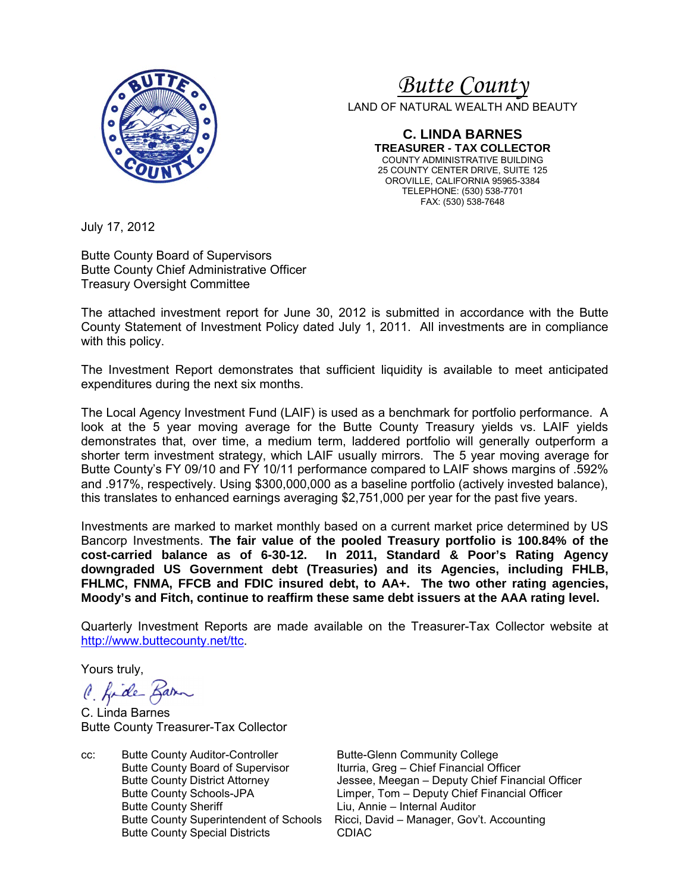

# <sup>U</sup>*Butte County*

LAND OF NATURAL WEALTH AND BEAUTY

**C. LINDA BARNES TREASURER - TAX COLLECTOR**  COUNTY ADMINISTRATIVE BUILDING 25 COUNTY CENTER DRIVE, SUITE 125 OROVILLE, CALIFORNIA 95965-3384 TELEPHONE: (530) 538-7701 FAX: (530) 538-7648

July 17, 2012

Butte County Board of Supervisors Butte County Chief Administrative Officer Treasury Oversight Committee

The attached investment report for June 30, 2012 is submitted in accordance with the Butte County Statement of Investment Policy dated July 1, 2011. All investments are in compliance with this policy.

The Investment Report demonstrates that sufficient liquidity is available to meet anticipated expenditures during the next six months.

The Local Agency Investment Fund (LAIF) is used as a benchmark for portfolio performance. A look at the 5 year moving average for the Butte County Treasury yields vs. LAIF yields demonstrates that, over time, a medium term, laddered portfolio will generally outperform a shorter term investment strategy, which LAIF usually mirrors. The 5 year moving average for Butte County's FY 09/10 and FY 10/11 performance compared to LAIF shows margins of .592% and .917%, respectively. Using \$300,000,000 as a baseline portfolio (actively invested balance), this translates to enhanced earnings averaging \$2,751,000 per year for the past five years.

Investments are marked to market monthly based on a current market price determined by US Bancorp Investments. **The fair value of the pooled Treasury portfolio is 100.84% of the**  In 2011, Standard & Poor's Rating Agency **downgraded US Government debt (Treasuries) and its Agencies, including FHLB, FHLMC, FNMA, FFCB and FDIC insured debt, to AA+. The two other rating agencies, Moody's and Fitch, continue to reaffirm these same debt issuers at the AAA rating level.**

Quarterly Investment Reports are made available on the Treasurer-Tax Collector website at http://www.buttecounty.net/ttc.

Yours truly,

C. fide Barn

C. Linda Barnes Butte County Treasurer-Tax Collector

cc: Butte County Auditor-Controller Butte-Glenn Community College Butte County Board of Supervisor<br>Butte County District Attorney **Ituria, Greg – Chief Financial Officer**<br>Jessee, Meegan – Deputy Chief Fina Butte County Sheriff **Liu, Annie – Internal Auditor** Butte County Special Districts CDIAC

Butte County District Attorney **Jessee, Meegan – Deputy Chief Financial Officer**<br>Butte County Schools-JPA **The Limper, Tom – Deputy Chief Financial Officer** Limper, Tom – Deputy Chief Financial Officer Butte County Superintendent of Schools Ricci, David – Manager, Gov't. Accounting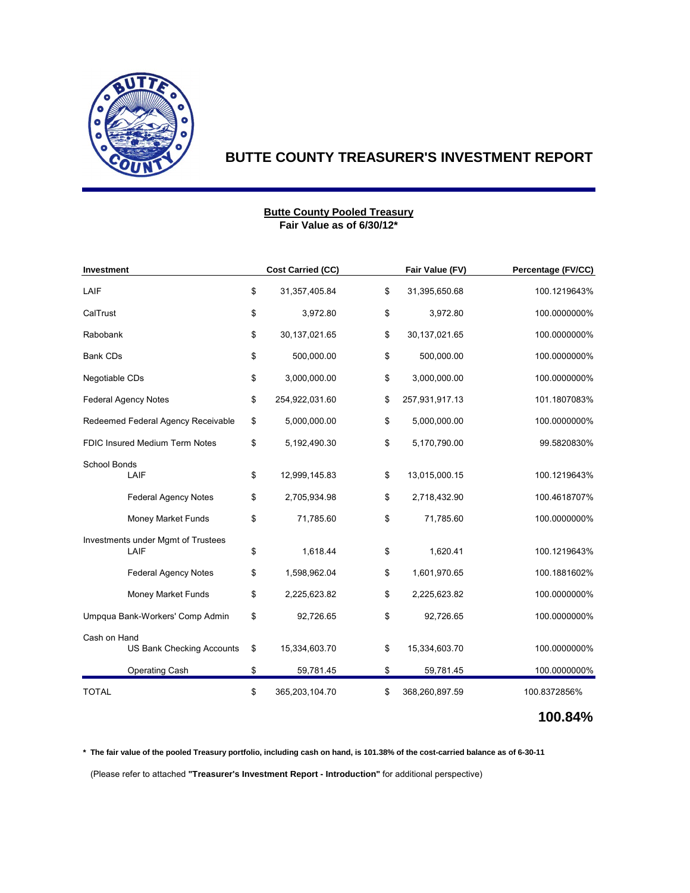

#### **Fair Value as of 6/30/12\* Butte County Pooled Treasury**

| Investment                     |                                    | <b>Cost Carried (CC)</b> |                      | Fair Value (FV) | Percentage (FV/CC) |  |
|--------------------------------|------------------------------------|--------------------------|----------------------|-----------------|--------------------|--|
| LAIF                           |                                    | \$<br>31,357,405.84      | \$                   | 31,395,650.68   | 100.1219643%       |  |
| CalTrust                       |                                    | \$<br>3,972.80           | \$                   | 3,972.80        | 100.0000000%       |  |
| Rabobank                       |                                    | \$<br>30,137,021.65      | \$                   | 30,137,021.65   | 100.0000000%       |  |
| <b>Bank CDs</b>                |                                    | \$<br>500,000.00         | \$                   | 500,000.00      | 100.0000000%       |  |
| Negotiable CDs                 |                                    | \$<br>3,000,000.00       | \$                   | 3,000,000.00    | 100.0000000%       |  |
|                                | <b>Federal Agency Notes</b>        | \$<br>254,922,031.60     | \$<br>257,931,917.13 |                 | 101.1807083%       |  |
|                                | Redeemed Federal Agency Receivable | \$<br>5,000,000.00       | \$                   | 5,000,000.00    | 100.0000000%       |  |
| FDIC Insured Medium Term Notes |                                    | \$<br>5,192,490.30       | \$                   | 5,170,790.00    | 99.5820830%        |  |
| School Bonds                   |                                    |                          |                      |                 |                    |  |
|                                | LAIF                               | \$<br>12,999,145.83      | \$                   | 13,015,000.15   | 100.1219643%       |  |
|                                | <b>Federal Agency Notes</b>        | \$<br>2,705,934.98       | \$                   | 2,718,432.90    | 100.4618707%       |  |
|                                | <b>Money Market Funds</b>          | \$<br>71,785.60          | \$                   | 71,785.60       | 100.0000000%       |  |
|                                | Investments under Mgmt of Trustees |                          |                      |                 |                    |  |
|                                | LAIF                               | \$<br>1,618.44           | \$                   | 1,620.41        | 100.1219643%       |  |
|                                | <b>Federal Agency Notes</b>        | \$<br>1,598,962.04       | \$                   | 1,601,970.65    | 100.1881602%       |  |
|                                | <b>Money Market Funds</b>          | \$<br>2,225,623.82       | \$                   | 2,225,623.82    | 100.0000000%       |  |
|                                | Umpqua Bank-Workers' Comp Admin    | \$<br>92,726.65          | \$                   | 92,726.65       | 100.0000000%       |  |
| Cash on Hand                   |                                    |                          |                      |                 |                    |  |
|                                | <b>US Bank Checking Accounts</b>   | \$<br>15,334,603.70      | \$                   | 15,334,603.70   | 100.0000000%       |  |
|                                | Operating Cash                     | \$<br>59,781.45          | \$                   | 59,781.45       | 100.0000000%       |  |
| <b>TOTAL</b>                   |                                    | \$<br>365,203,104.70     | \$                   | 368,260,897.59  | 100.8372856%       |  |

## **100.84%**

**\* The fair value of the pooled Treasury portfolio, including cash on hand, is 101.38% of the cost-carried balance as of 6-30-11**

(Please refer to attached **"Treasurer's Investment Report - Introduction"** for additional perspective)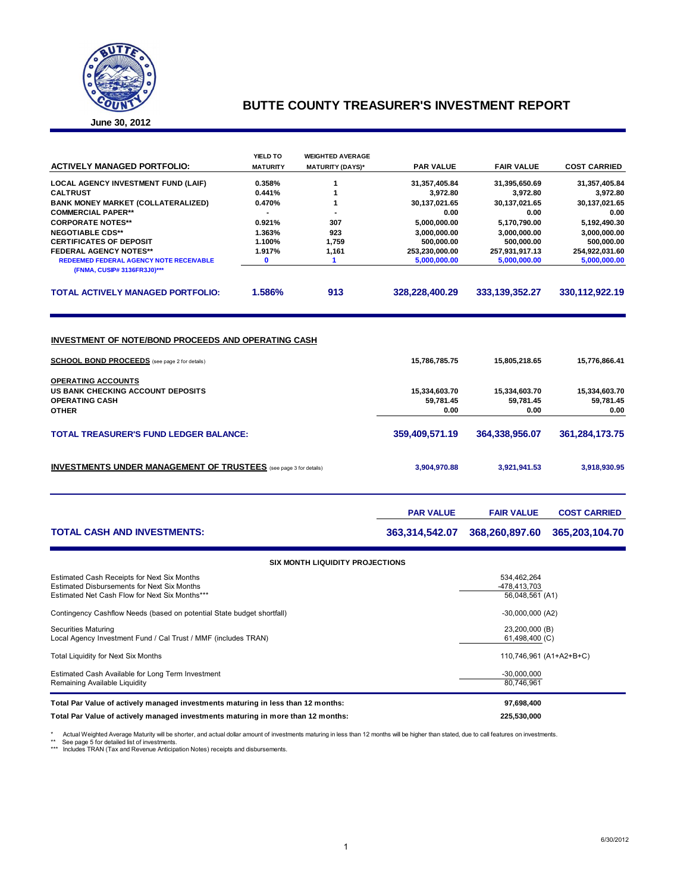

**June 30, 2012**

|                                                                                                                    | YIELD TO        | <b>WEIGHTED AVERAGE</b>                |                  |                   |                     |
|--------------------------------------------------------------------------------------------------------------------|-----------------|----------------------------------------|------------------|-------------------|---------------------|
| <b>ACTIVELY MANAGED PORTFOLIO:</b>                                                                                 | <b>MATURITY</b> | <b>MATURITY (DAYS)*</b>                | <b>PAR VALUE</b> | <b>FAIR VALUE</b> | <b>COST CARRIED</b> |
| LOCAL AGENCY INVESTMENT FUND (LAIF)                                                                                | 0.358%          | 1                                      | 31,357,405.84    | 31,395,650.69     | 31,357,405.84       |
| <b>CALTRUST</b>                                                                                                    | 0.441%          | 1                                      | 3,972.80         | 3,972.80          | 3,972.80            |
| <b>BANK MONEY MARKET (COLLATERALIZED)</b>                                                                          | 0.470%          | 1                                      | 30,137,021.65    | 30,137,021.65     | 30,137,021.65       |
| <b>COMMERCIAL PAPER**</b>                                                                                          |                 |                                        | 0.00             | 0.00              | 0.00                |
| <b>CORPORATE NOTES**</b>                                                                                           | 0.921%          | 307                                    | 5,000,000.00     | 5,170,790.00      | 5,192,490.30        |
| <b>NEGOTIABLE CDS**</b>                                                                                            | 1.363%          | 923                                    | 3,000,000.00     | 3,000,000.00      | 3,000,000.00        |
| <b>CERTIFICATES OF DEPOSIT</b>                                                                                     | 1.100%          | 1,759                                  | 500,000.00       | 500,000.00        | 500,000.00          |
| <b>FEDERAL AGENCY NOTES**</b>                                                                                      | 1.917%          | 1,161                                  | 253,230,000.00   | 257,931,917.13    | 254,922,031.60      |
| REDEEMED FEDERAL AGENCY NOTE RECEIVABLE<br>(FNMA, CUSIP# 3136FR3J0)***                                             | $\mathbf 0$     | 1                                      | 5,000,000.00     | 5,000,000.00      | 5,000,000.00        |
| <b>TOTAL ACTIVELY MANAGED PORTFOLIO:</b>                                                                           | 1.586%          | 913                                    | 328,228,400.29   | 333, 139, 352. 27 | 330,112,922.19      |
| <b>INVESTMENT OF NOTE/BOND PROCEEDS AND OPERATING CASH</b><br><b>SCHOOL BOND PROCEEDS</b> (see page 2 for details) |                 |                                        | 15,786,785.75    | 15,805,218.65     | 15,776,866.41       |
| <b>OPERATING ACCOUNTS</b>                                                                                          |                 |                                        |                  |                   |                     |
| <b>US BANK CHECKING ACCOUNT DEPOSITS</b>                                                                           |                 |                                        | 15,334,603.70    | 15,334,603.70     | 15,334,603.70       |
| <b>OPERATING CASH</b>                                                                                              |                 | 59,781.45                              | 59,781.45        |                   |                     |
| <b>OTHER</b>                                                                                                       |                 |                                        | 0.00             | 59,781.45<br>0.00 | 0.00                |
|                                                                                                                    |                 |                                        |                  |                   |                     |
| <b>TOTAL TREASURER'S FUND LEDGER BALANCE:</b>                                                                      |                 |                                        | 359,409,571.19   | 364,338,956.07    | 361,284,173.75      |
| <b>INVESTMENTS UNDER MANAGEMENT OF TRUSTEES</b> (see page 3 for details)                                           |                 |                                        | 3,904,970.88     | 3,921,941.53      | 3,918,930.95        |
|                                                                                                                    |                 |                                        | <b>PAR VALUE</b> | <b>FAIR VALUE</b> | <b>COST CARRIED</b> |
| <b>TOTAL CASH AND INVESTMENTS:</b>                                                                                 |                 |                                        | 363,314,542.07   | 368,260,897.60    | 365,203,104.70      |
|                                                                                                                    |                 | <b>SIX MONTH LIQUIDITY PROJECTIONS</b> |                  |                   |                     |
| Estimated Cash Receipts for Next Six Months                                                                        |                 |                                        |                  | 534.462.264       |                     |

| Estimated Cash Receipts for Next Six Months<br><b>Estimated Disbursements for Next Six Months</b> | 534.462.264<br>-478.413.703      |
|---------------------------------------------------------------------------------------------------|----------------------------------|
| Estimated Net Cash Flow for Next Six Months***                                                    | 56,048,561 (A1)                  |
| Contingency Cashflow Needs (based on potential State budget shortfall)                            | $-30,000,000(A2)$                |
| <b>Securities Maturing</b><br>Local Agency Investment Fund / Cal Trust / MMF (includes TRAN)      | 23,200,000 (B)<br>61,498,400 (C) |
| Total Liquidity for Next Six Months                                                               | 110,746,961 (A1+A2+B+C)          |
| Estimated Cash Available for Long Term Investment<br>Remaining Available Liquidity                | $-30.000.000$<br>80.746.961      |
| Total Par Value of actively managed investments maturing in less than 12 months:                  | 97,698,400                       |
| Total Par Value of actively managed investments maturing in more than 12 months:                  | 225.530.000                      |

\* Actual Weighted Average Maturity will be shorter, and actual dollar amount of investments maturing in less than 12 months will be higher than stated, due to call features on investments.<br>\*\* See page 5 for detailed list o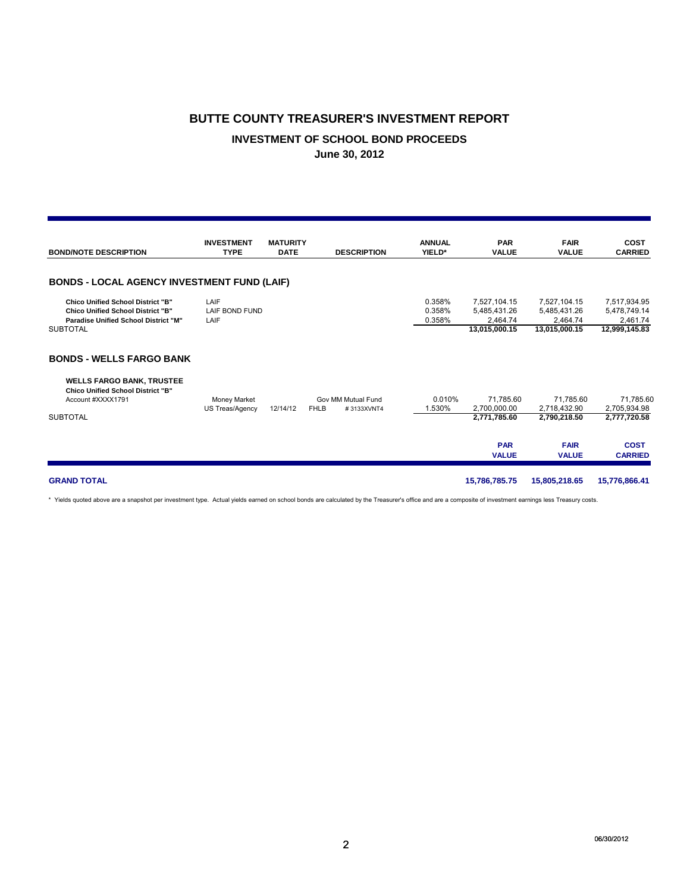#### **INVESTMENT OF SCHOOL BOND PROCEEDS**

**June 30, 2012**

| <b>BOND/NOTE DESCRIPTION</b>                                                                                                                            | <b>INVESTMENT</b><br><b>TYPE</b> | <b>MATURITY</b><br><b>DATE</b> | <b>DESCRIPTION</b>                              | <b>ANNUAL</b><br>YIELD*    | <b>PAR</b><br><b>VALUE</b>                                | <b>FAIR</b><br><b>VALUE</b>                               | <b>COST</b><br><b>CARRIED</b>                             |
|---------------------------------------------------------------------------------------------------------------------------------------------------------|----------------------------------|--------------------------------|-------------------------------------------------|----------------------------|-----------------------------------------------------------|-----------------------------------------------------------|-----------------------------------------------------------|
| <b>BONDS - LOCAL AGENCY INVESTMENT FUND (LAIF)</b>                                                                                                      |                                  |                                |                                                 |                            |                                                           |                                                           |                                                           |
| <b>Chico Unified School District "B"</b><br><b>Chico Unified School District "B"</b><br><b>Paradise Unified School District "M"</b><br><b>SUBTOTAL</b>  | LAIF<br>LAIF BOND FUND<br>LAIF   |                                |                                                 | 0.358%<br>0.358%<br>0.358% | 7,527,104.15<br>5.485.431.26<br>2.464.74<br>13,015,000.15 | 7,527,104.15<br>5,485,431.26<br>2.464.74<br>13,015,000.15 | 7,517,934.95<br>5,478,749.14<br>2,461.74<br>12,999,145.83 |
| <b>BONDS - WELLS FARGO BANK</b><br><b>WELLS FARGO BANK, TRUSTEE</b><br><b>Chico Unified School District "B"</b><br>Account #XXXX1791<br><b>SUBTOTAL</b> | Money Market<br>US Treas/Agency  | 12/14/12                       | Gov MM Mutual Fund<br><b>FHLB</b><br>#3133XVNT4 | 0.010%<br>1.530%           | 71,785.60<br>2.700.000.00<br>2,771,785.60                 | 71,785.60<br>2.718.432.90<br>2,790,218.50                 | 71,785.60<br>2,705,934.98<br>2,777,720.58                 |
|                                                                                                                                                         |                                  |                                |                                                 |                            | <b>PAR</b><br><b>VALUE</b>                                | <b>FAIR</b><br><b>VALUE</b>                               | <b>COST</b><br><b>CARRIED</b>                             |
| <b>GRAND TOTAL</b>                                                                                                                                      |                                  |                                |                                                 |                            | 15,786,785.75                                             | 15,805,218.65                                             | 15,776,866.41                                             |

\* Yields quoted above are a snapshot per investment type. Actual yields earned on school bonds are calculated by the Treasurer's office and are a composite of investment earnings less Treasury costs.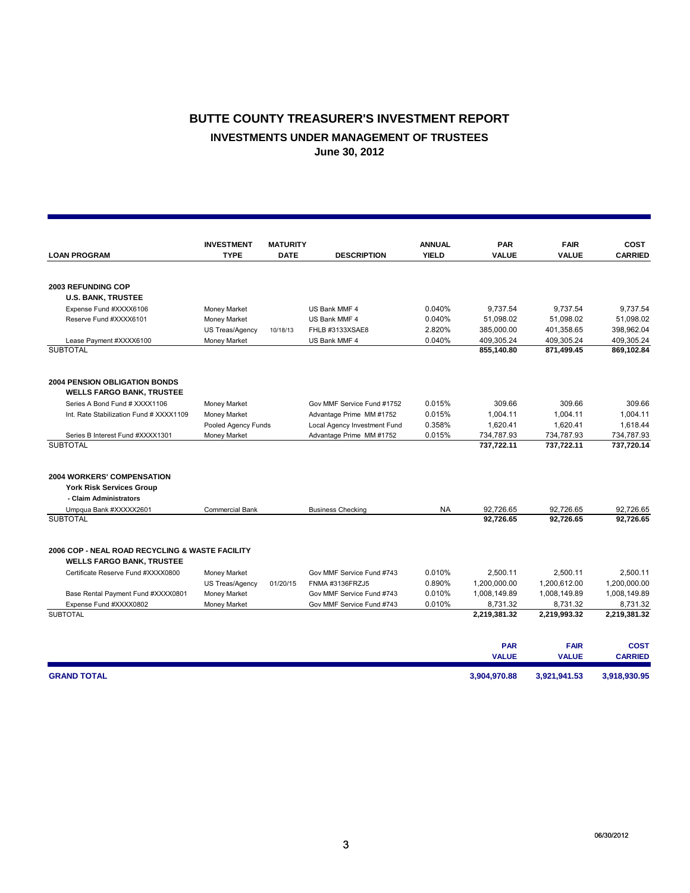## **BUTTE COUNTY TREASURER'S INVESTMENT REPORT INVESTMENTS UNDER MANAGEMENT OF TRUSTEES June 30, 2012**

|                                                     | <b>INVESTMENT</b>           | <b>MATURITY</b> |                              | <b>ANNUAL</b> | <b>PAR</b>               | <b>FAIR</b>              | <b>COST</b>              |
|-----------------------------------------------------|-----------------------------|-----------------|------------------------------|---------------|--------------------------|--------------------------|--------------------------|
| <b>LOAN PROGRAM</b>                                 | <b>TYPE</b>                 | <b>DATE</b>     | <b>DESCRIPTION</b>           | <b>YIELD</b>  | <b>VALUE</b>             | <b>VALUE</b>             | <b>CARRIED</b>           |
|                                                     |                             |                 |                              |               |                          |                          |                          |
| <b>2003 REFUNDING COP</b>                           |                             |                 |                              |               |                          |                          |                          |
| <b>U.S. BANK, TRUSTEE</b>                           |                             |                 |                              |               |                          |                          |                          |
| Expense Fund #XXXX6106                              | Money Market                |                 | US Bank MMF 4                | 0.040%        | 9,737.54                 | 9.737.54                 | 9.737.54                 |
| Reserve Fund #XXXX6101                              | Money Market                |                 | US Bank MMF 4                | 0.040%        | 51,098.02                | 51,098.02                | 51.098.02                |
|                                                     | US Treas/Agency<br>10/18/13 |                 | FHLB #3133XSAE8              | 2.820%        | 385,000.00               | 401,358.65               | 398,962.04               |
| Lease Payment #XXXX6100                             | Money Market                |                 | US Bank MMF 4                | 0.040%        | 409,305.24               | 409,305.24               | 409,305.24               |
| <b>SUBTOTAL</b>                                     |                             |                 |                              |               | 855,140.80               | 871,499.45               | 869,102.84               |
| <b>2004 PENSION OBLIGATION BONDS</b>                |                             |                 |                              |               |                          |                          |                          |
| <b>WELLS FARGO BANK, TRUSTEE</b>                    |                             |                 |                              |               |                          |                          |                          |
| Series A Bond Fund # XXXX1106                       | Money Market                |                 | Gov MMF Service Fund #1752   | 0.015%        | 309.66                   | 309.66                   | 309.66                   |
| Int. Rate Stabilization Fund # XXXX1109             | Money Market                |                 | Advantage Prime MM #1752     | 0.015%        | 1,004.11                 | 1,004.11                 | 1,004.11                 |
|                                                     | Pooled Agency Funds         |                 | Local Agency Investment Fund | 0.358%        | 1,620.41                 | 1.620.41                 | 1,618.44                 |
| Series B Interest Fund #XXXX1301<br><b>SUBTOTAL</b> | Money Market                |                 | Advantage Prime MM #1752     | 0.015%        | 734,787.93<br>737,722.11 | 734,787.93<br>737,722.11 | 734,787.93<br>737,720.14 |
| <b>2004 WORKERS' COMPENSATION</b>                   |                             |                 |                              |               |                          |                          |                          |
| <b>York Risk Services Group</b>                     |                             |                 |                              |               |                          |                          |                          |
| - Claim Administrators                              |                             |                 |                              |               |                          |                          |                          |
| Umpqua Bank #XXXXX2601                              | <b>Commercial Bank</b>      |                 | <b>Business Checking</b>     | <b>NA</b>     | 92,726.65                | 92,726.65                | 92,726.65                |
| <b>SUBTOTAL</b>                                     |                             |                 |                              |               | 92,726.65                | 92,726.65                | 92,726.65                |
| 2006 COP - NEAL ROAD RECYCLING & WASTE FACILITY     |                             |                 |                              |               |                          |                          |                          |
| <b>WELLS FARGO BANK, TRUSTEE</b>                    |                             |                 |                              |               |                          |                          |                          |
| Certificate Reserve Fund #XXXX0800                  | Money Market                |                 | Gov MMF Service Fund #743    | 0.010%        | 2.500.11                 | 2.500.11                 | 2.500.11                 |
|                                                     | US Treas/Agency<br>01/20/15 |                 | FNMA #3136FRZJ5              | 0.890%        | 1,200,000.00             | 1.200.612.00             | 1,200,000.00             |
| Base Rental Payment Fund #XXXX0801                  | Money Market                |                 | Gov MMF Service Fund #743    | 0.010%        | 1,008,149.89             | 1,008,149.89             | 1,008,149.89             |
| Expense Fund #XXXX0802                              | Money Market                |                 | Gov MMF Service Fund #743    | 0.010%        | 8,731.32                 | 8,731.32                 | 8,731.32                 |
| <b>SUBTOTAL</b>                                     |                             |                 |                              |               | 2,219,381.32             | 2,219,993.32             | 2,219,381.32             |
|                                                     |                             |                 |                              |               | <b>PAR</b>               | <b>FAIR</b>              | <b>COST</b>              |
|                                                     |                             |                 |                              |               | <b>VALUE</b>             | <b>VALUE</b>             | <b>CARRIED</b>           |
| <b>GRAND TOTAL</b>                                  |                             |                 |                              |               | 3,904,970.88             | 3,921,941.53             | 3,918,930.95             |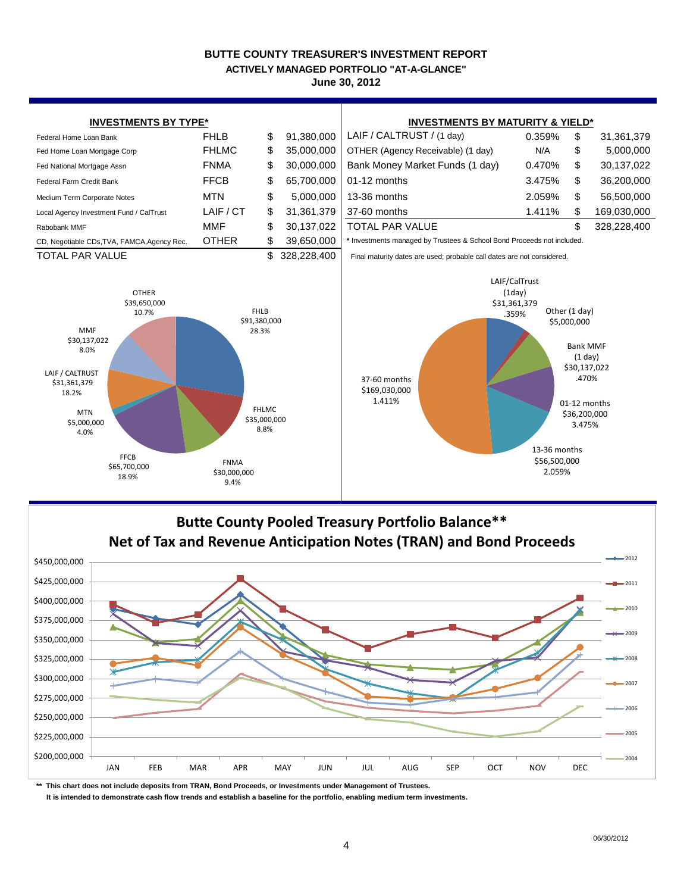#### **BUTTE COUNTY TREASURER'S INVESTMENT REPORT ACTIVELY MANAGED PORTFOLIO "AT-A-GLANCE"**

**June 30, 2012**





**\*\* This chart does not include deposits from TRAN, Bond Proceeds, or Investments under Management of Trustees.**

 **It is intended to demonstrate cash flow trends and establish a baseline for the portfolio, enabling medium term investments.**